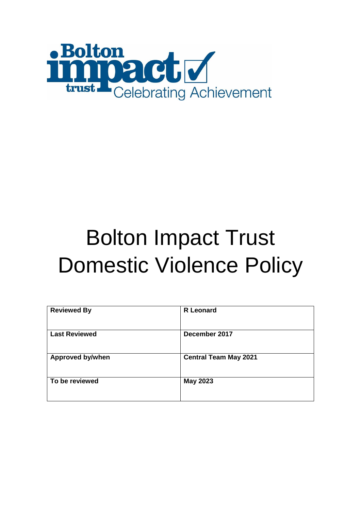

# Bolton Impact Trust Domestic Violence Policy

| <b>Reviewed By</b>      | <b>R</b> Leonard             |
|-------------------------|------------------------------|
| <b>Last Reviewed</b>    | December 2017                |
| <b>Approved by/when</b> | <b>Central Team May 2021</b> |
| To be reviewed          | <b>May 2023</b>              |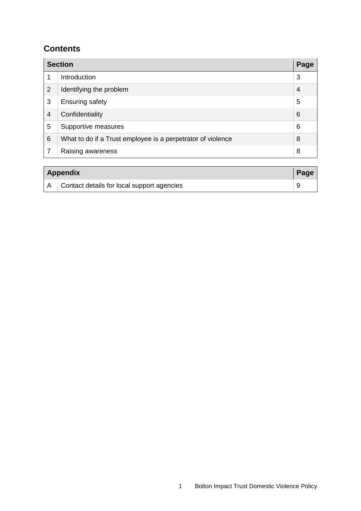#### **Contents**

|                | <b>Section</b>                                              | Page |
|----------------|-------------------------------------------------------------|------|
| 1              | Introduction                                                | 3    |
| $\overline{2}$ | Identifying the problem                                     | 4    |
| 3              | <b>Ensuring safety</b>                                      | 5    |
| 4              | Confidentiality                                             | 6    |
| 5              | Supportive measures                                         | 6    |
| 6              | What to do if a Trust employee is a perpetrator of violence | 8    |
|                | Raising awareness                                           | 8    |

| <b>Appendix</b> |                                                |  |
|-----------------|------------------------------------------------|--|
|                 | A   Contact details for local support agencies |  |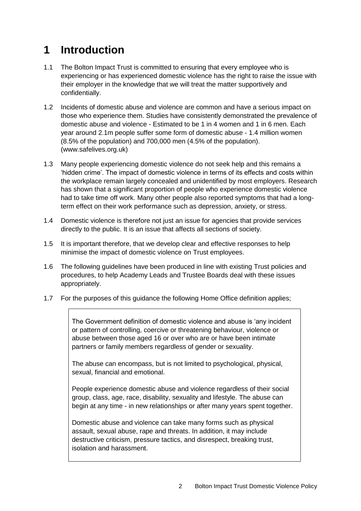### **1 Introduction**

- 1.1 The Bolton Impact Trust is committed to ensuring that every employee who is experiencing or has experienced domestic violence has the right to raise the issue with their employer in the knowledge that we will treat the matter supportively and confidentially.
- 1.2 Incidents of domestic abuse and violence are common and have a serious impact on those who experience them. Studies have consistently demonstrated the prevalence of domestic abuse and violence - Estimated to be 1 in 4 women and 1 in 6 men. Each year around 2.1m people suffer some form of domestic abuse - 1.4 million women (8.5% of the population) and 700,000 men (4.5% of the population). (www.safelives.org.uk)
- 1.3 Many people experiencing domestic violence do not seek help and this remains a 'hidden crime'. The impact of domestic violence in terms of its effects and costs within the workplace remain largely concealed and unidentified by most employers. Research has shown that a significant proportion of people who experience domestic violence had to take time off work. Many other people also reported symptoms that had a longterm effect on their work performance such as depression, anxiety, or stress.
- 1.4 Domestic violence is therefore not just an issue for agencies that provide services directly to the public. It is an issue that affects all sections of society.
- 1.5 It is important therefore, that we develop clear and effective responses to help minimise the impact of domestic violence on Trust employees.
- 1.6 The following guidelines have been produced in line with existing Trust policies and procedures, to help Academy Leads and Trustee Boards deal with these issues appropriately.
- 1.7 For the purposes of this guidance the following Home Office definition applies;

The Government definition of domestic violence and abuse is 'any incident or pattern of controlling, coercive or threatening behaviour, violence or abuse between those aged 16 or over who are or have been intimate partners or family members regardless of gender or sexuality.

The abuse can encompass, but is not limited to psychological, physical, sexual, financial and emotional.

People experience domestic abuse and violence regardless of their social group, class, age, race, disability, sexuality and lifestyle. The abuse can begin at any time - in new relationships or after many years spent together.

Domestic abuse and violence can take many forms such as physical assault, sexual abuse, rape and threats. In addition, it may include destructive criticism, pressure tactics, and disrespect, breaking trust, isolation and harassment.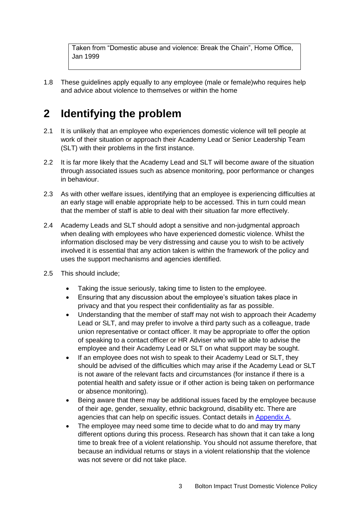Taken from "Domestic abuse and violence: Break the Chain", Home Office, Jan 1999

1.8 These guidelines apply equally to any employee (male or female)who requires help and advice about violence to themselves or within the home

#### **2 Identifying the problem**

- 2.1 It is unlikely that an employee who experiences domestic violence will tell people at work of their situation or approach their Academy Lead or Senior Leadership Team (SLT) with their problems in the first instance.
- 2.2 It is far more likely that the Academy Lead and SLT will become aware of the situation through associated issues such as absence monitoring, poor performance or changes in behaviour.
- 2.3 As with other welfare issues, identifying that an employee is experiencing difficulties at an early stage will enable appropriate help to be accessed. This in turn could mean that the member of staff is able to deal with their situation far more effectively.
- 2.4 Academy Leads and SLT should adopt a sensitive and non-judgmental approach when dealing with employees who have experienced domestic violence. Whilst the information disclosed may be very distressing and cause you to wish to be actively involved it is essential that any action taken is within the framework of the policy and uses the support mechanisms and agencies identified.
- 2.5 This should include;
	- Taking the issue seriously, taking time to listen to the employee.
	- Ensuring that any discussion about the employee's situation takes place in privacy and that you respect their confidentiality as far as possible.
	- Understanding that the member of staff may not wish to approach their Academy Lead or SLT, and may prefer to involve a third party such as a colleague, trade union representative or contact officer. It may be appropriate to offer the option of speaking to a contact officer or HR Adviser who will be able to advise the employee and their Academy Lead or SLT on what support may be sought.
	- If an employee does not wish to speak to their Academy Lead or SLT, they should be advised of the difficulties which may arise if the Academy Lead or SLT is not aware of the relevant facts and circumstances (for instance if there is a potential health and safety issue or if other action is being taken on performance or absence monitoring).
	- Being aware that there may be additional issues faced by the employee because of their age, gender, sexuality, ethnic background, disability etc. There are agencies that can help on specific issues. Contact details in [Appendix A.](#page-10-0)
	- The employee may need some time to decide what to do and may try many different options during this process. Research has shown that it can take a long time to break free of a violent relationship. You should not assume therefore, that because an individual returns or stays in a violent relationship that the violence was not severe or did not take place.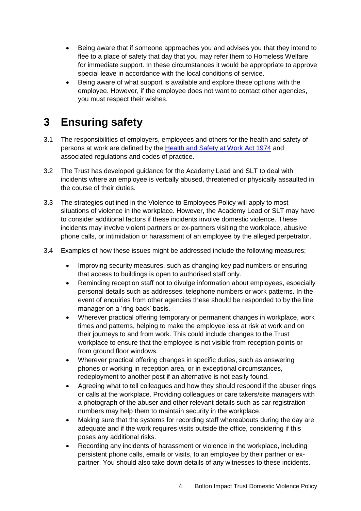- Being aware that if someone approaches you and advises you that they intend to flee to a place of safety that day that you may refer them to Homeless Welfare for immediate support. In these circumstances it would be appropriate to approve special leave in accordance with the local conditions of service.
- Being aware of what support is available and explore these options with the employee. However, if the employee does not want to contact other agencies, you must respect their wishes.

#### **3 Ensuring safety**

- 3.1 The responsibilities of employers, employees and others for the health and safety of persons at work are defined by the Health and [Safety at Work Act 1974](http://www.legislation.gov.uk/ukpga/1974/37) and associated regulations and codes of practice.
- 3.2 The Trust has developed guidance for the Academy Lead and SLT to deal with incidents where an employee is verbally abused, threatened or physically assaulted in the course of their duties.
- 3.3 The strategies outlined in the Violence to Employees Policy will apply to most situations of violence in the workplace. However, the Academy Lead or SLT may have to consider additional factors if these incidents involve domestic violence. These incidents may involve violent partners or ex-partners visiting the workplace, abusive phone calls, or intimidation or harassment of an employee by the alleged perpetrator.
- 3.4 Examples of how these issues might be addressed include the following measures;
	- Improving security measures, such as changing key pad numbers or ensuring that access to buildings is open to authorised staff only.
	- Reminding reception staff not to divulge information about employees, especially personal details such as addresses, telephone numbers or work patterns. In the event of enquiries from other agencies these should be responded to by the line manager on a 'ring back' basis.
	- Wherever practical offering temporary or permanent changes in workplace, work times and patterns, helping to make the employee less at risk at work and on their journeys to and from work. This could include changes to the Trust workplace to ensure that the employee is not visible from reception points or from ground floor windows.
	- Wherever practical offering changes in specific duties, such as answering phones or working in reception area, or in exceptional circumstances, redeployment to another post if an alternative is not easily found.
	- Agreeing what to tell colleagues and how they should respond if the abuser rings or calls at the workplace. Providing colleagues or care takers/site managers with a photograph of the abuser and other relevant details such as car registration numbers may help them to maintain security in the workplace.
	- Making sure that the systems for recording staff whereabouts during the day are adequate and if the work requires visits outside the office, considering if this poses any additional risks.
	- Recording any incidents of harassment or violence in the workplace, including persistent phone calls, emails or visits, to an employee by their partner or expartner. You should also take down details of any witnesses to these incidents.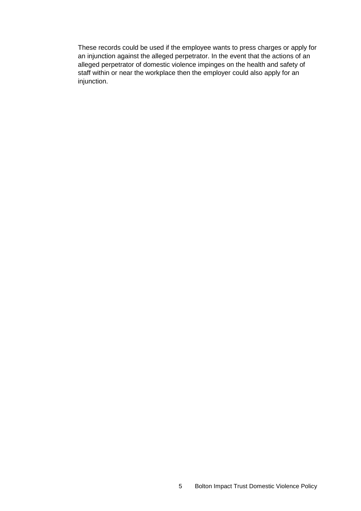These records could be used if the employee wants to press charges or apply for an injunction against the alleged perpetrator. In the event that the actions of an alleged perpetrator of domestic violence impinges on the health and safety of staff within or near the workplace then the employer could also apply for an injunction.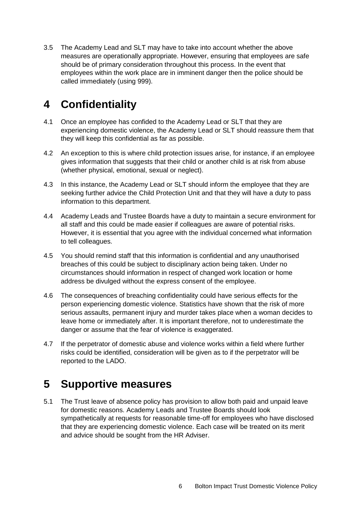3.5 The Academy Lead and SLT may have to take into account whether the above measures are operationally appropriate. However, ensuring that employees are safe should be of primary consideration throughout this process. In the event that employees within the work place are in imminent danger then the police should be called immediately (using 999).

## **4 Confidentiality**

- 4.1 Once an employee has confided to the Academy Lead or SLT that they are experiencing domestic violence, the Academy Lead or SLT should reassure them that they will keep this confidential as far as possible.
- 4.2 An exception to this is where child protection issues arise, for instance, if an employee gives information that suggests that their child or another child is at risk from abuse (whether physical, emotional, sexual or neglect).
- 4.3 In this instance, the Academy Lead or SLT should inform the employee that they are seeking further advice the Child Protection Unit and that they will have a duty to pass information to this department.
- 4.4 Academy Leads and Trustee Boards have a duty to maintain a secure environment for all staff and this could be made easier if colleagues are aware of potential risks. However, it is essential that you agree with the individual concerned what information to tell colleagues.
- 4.5 You should remind staff that this information is confidential and any unauthorised breaches of this could be subject to disciplinary action being taken. Under no circumstances should information in respect of changed work location or home address be divulged without the express consent of the employee.
- 4.6 The consequences of breaching confidentiality could have serious effects for the person experiencing domestic violence. Statistics have shown that the risk of more serious assaults, permanent injury and murder takes place when a woman decides to leave home or immediately after. It is important therefore, not to underestimate the danger or assume that the fear of violence is exaggerated.
- 4.7 If the perpetrator of domestic abuse and violence works within a field where further risks could be identified, consideration will be given as to if the perpetrator will be reported to the LADO.

#### **5 Supportive measures**

5.1 The Trust leave of absence policy has provision to allow both paid and unpaid leave for domestic reasons. Academy Leads and Trustee Boards should look sympathetically at requests for reasonable time-off for employees who have disclosed that they are experiencing domestic violence. Each case will be treated on its merit and advice should be sought from the HR Adviser.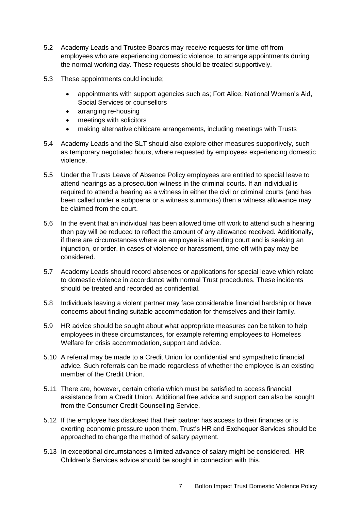- 5.2 Academy Leads and Trustee Boards may receive requests for time-off from employees who are experiencing domestic violence, to arrange appointments during the normal working day. These requests should be treated supportively.
- 5.3 These appointments could include;
	- appointments with support agencies such as; Fort Alice, National Women's Aid, Social Services or counsellors
	- arranging re-housing
	- meetings with solicitors
	- making alternative childcare arrangements, including meetings with Trusts
- 5.4 Academy Leads and the SLT should also explore other measures supportively, such as temporary negotiated hours, where requested by employees experiencing domestic violence.
- 5.5 Under the Trusts Leave of Absence Policy employees are entitled to special leave to attend hearings as a prosecution witness in the criminal courts. If an individual is required to attend a hearing as a witness in either the civil or criminal courts (and has been called under a subpoena or a witness summons) then a witness allowance may be claimed from the court.
- 5.6 In the event that an individual has been allowed time off work to attend such a hearing then pay will be reduced to reflect the amount of any allowance received. Additionally, if there are circumstances where an employee is attending court and is seeking an injunction, or order, in cases of violence or harassment, time-off with pay may be considered.
- 5.7 Academy Leads should record absences or applications for special leave which relate to domestic violence in accordance with normal Trust procedures. These incidents should be treated and recorded as confidential.
- 5.8 Individuals leaving a violent partner may face considerable financial hardship or have concerns about finding suitable accommodation for themselves and their family.
- 5.9 HR advice should be sought about what appropriate measures can be taken to help employees in these circumstances, for example referring employees to Homeless Welfare for crisis accommodation, support and advice.
- 5.10 A referral may be made to a Credit Union for confidential and sympathetic financial advice. Such referrals can be made regardless of whether the employee is an existing member of the Credit Union.
- 5.11 There are, however, certain criteria which must be satisfied to access financial assistance from a Credit Union. Additional free advice and support can also be sought from the Consumer Credit Counselling Service.
- 5.12 If the employee has disclosed that their partner has access to their finances or is exerting economic pressure upon them, Trust's HR and Exchequer Services should be approached to change the method of salary payment.
- 5.13 In exceptional circumstances a limited advance of salary might be considered. HR Children's Services advice should be sought in connection with this.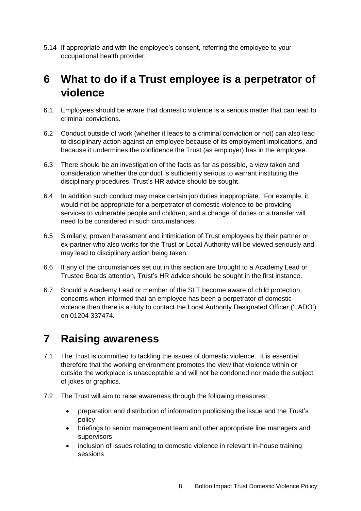5.14 If appropriate and with the employee's consent, referring the employee to your occupational health provider.

#### **6 What to do if a Trust employee is a perpetrator of violence**

- 6.1 Employees should be aware that domestic violence is a serious matter that can lead to criminal convictions.
- 6.2 Conduct outside of work (whether it leads to a criminal conviction or not) can also lead to disciplinary action against an employee because of its employment implications, and because it undermines the confidence the Trust (as employer) has in the employee.
- 6.3 There should be an investigation of the facts as far as possible, a view taken and consideration whether the conduct is sufficiently serious to warrant instituting the disciplinary procedures. Trust's HR advice should be sought.
- 6.4 In addition such conduct may make certain job duties inappropriate. For example, it would not be appropriate for a perpetrator of domestic violence to be providing services to vulnerable people and children, and a change of duties or a transfer will need to be considered in such circumstances.
- 6.5 Similarly, proven harassment and intimidation of Trust employees by their partner or ex-partner who also works for the Trust or Local Authority will be viewed seriously and may lead to disciplinary action being taken.
- 6.6 If any of the circumstances set out in this section are brought to a Academy Lead or Trustee Boards attention, Trust's HR advice should be sought in the first instance.
- 6.7 Should a Academy Lead or member of the SLT become aware of child protection concerns when informed that an employee has been a perpetrator of domestic violence then there is a duty to contact the Local Authority Designated Officer ('LADO') on 01204 337474.

#### **7 Raising awareness**

- 7.1 The Trust is committed to tackling the issues of domestic violence. It is essential therefore that the working environment promotes the view that violence within or outside the workplace is unacceptable and will not be condoned nor made the subject of jokes or graphics.
- 7.2 The Trust will aim to raise awareness through the following measures:
	- preparation and distribution of information publicising the issue and the Trust's policy
	- briefings to senior management team and other appropriate line managers and supervisors
	- inclusion of issues relating to domestic violence in relevant in-house training sessions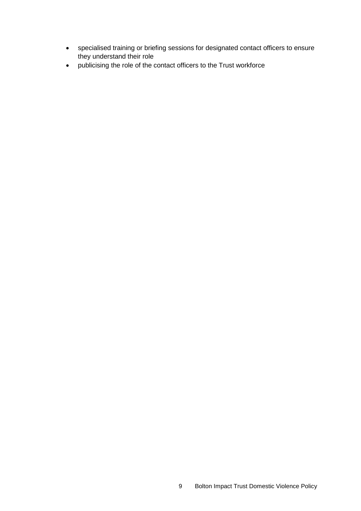- specialised training or briefing sessions for designated contact officers to ensure they understand their role
- publicising the role of the contact officers to the Trust workforce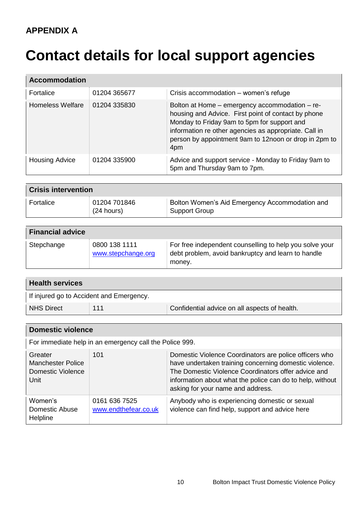# <span id="page-10-0"></span>**Contact details for local support agencies**

| <b>Accommodation</b>  |              |                                                                                                                                                                                                                                                                               |  |
|-----------------------|--------------|-------------------------------------------------------------------------------------------------------------------------------------------------------------------------------------------------------------------------------------------------------------------------------|--|
| <b>Fortalice</b>      | 01204 365677 | Crisis accommodation – women's refuge                                                                                                                                                                                                                                         |  |
| Homeless Welfare      | 01204 335830 | Bolton at Home – emergency accommodation – re-<br>housing and Advice. First point of contact by phone<br>Monday to Friday 9am to 5pm for support and<br>information re other agencies as appropriate. Call in<br>person by appointment 9am to 12noon or drop in 2pm to<br>4pm |  |
| <b>Housing Advice</b> | 01204 335900 | Advice and support service - Monday to Friday 9am to<br>5pm and Thursday 9am to 7pm.                                                                                                                                                                                          |  |

| <b>Crisis intervention</b> |                              |                                                                 |  |
|----------------------------|------------------------------|-----------------------------------------------------------------|--|
| Fortalice                  | 01204 701846<br>$(24$ hours) | Bolton Women's Aid Emergency Accommodation and<br>Support Group |  |

| <b>Financial advice</b> |                                     |                                                                                                                         |
|-------------------------|-------------------------------------|-------------------------------------------------------------------------------------------------------------------------|
| Stepchange              | 0800 138 1111<br>www.stepchange.org | For free independent counselling to help you solve your<br>debt problem, avoid bankruptcy and learn to handle<br>money. |

| <b>Health services</b>                   |     |                                               |  |
|------------------------------------------|-----|-----------------------------------------------|--|
| If injured go to Accident and Emergency. |     |                                               |  |
| <b>NHS Direct</b>                        | 111 | Confidential advice on all aspects of health. |  |

| <b>Domestic violence</b>                                         |                                       |                                                                                                                                                                                                                                                                           |  |
|------------------------------------------------------------------|---------------------------------------|---------------------------------------------------------------------------------------------------------------------------------------------------------------------------------------------------------------------------------------------------------------------------|--|
| For immediate help in an emergency call the Police 999.          |                                       |                                                                                                                                                                                                                                                                           |  |
| Greater<br><b>Manchester Police</b><br>Domestic Violence<br>Unit | 101                                   | Domestic Violence Coordinators are police officers who<br>have undertaken training concerning domestic violence.<br>The Domestic Violence Coordinators offer advice and<br>information about what the police can do to help, without<br>asking for your name and address. |  |
| Women's<br>Domestic Abuse<br>Helpline                            | 0161 636 7525<br>www.endthefear.co.uk | Anybody who is experiencing domestic or sexual<br>violence can find help, support and advice here                                                                                                                                                                         |  |